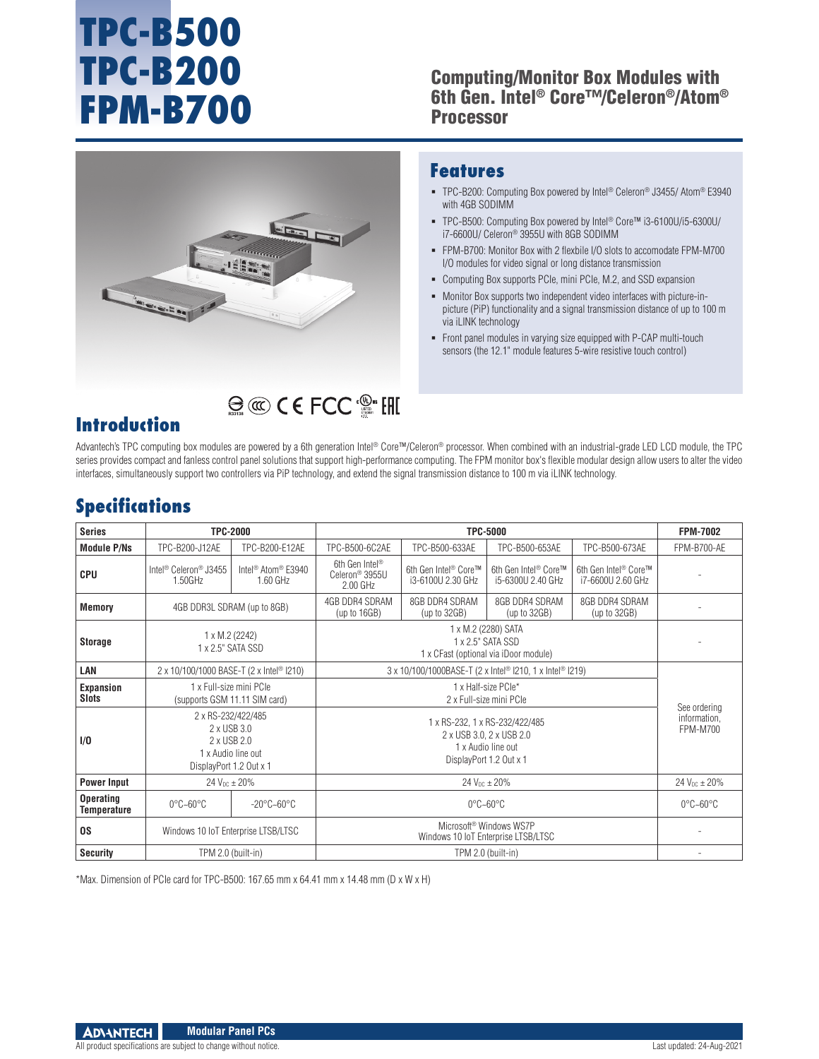# **TPC-B500 TPC-B200 FPM-B700**

#### Computing/Monitor Box Modules with 6th Gen. Intel® Core™/Celeron®/Atom® Processor



## $\bigcirc$   $\bigcirc$   $\bigcirc$   $\bigcirc$   $\bigcirc$   $\bigcirc$   $\bigcirc$   $\bigcirc$   $\bigcirc$   $\bigcirc$   $\bigcirc$   $\bigcirc$   $\bigcirc$   $\bigcirc$   $\bigcirc$   $\bigcirc$   $\bigcirc$   $\bigcirc$   $\bigcirc$   $\bigcirc$   $\bigcirc$   $\bigcirc$   $\bigcirc$   $\bigcirc$   $\bigcirc$   $\bigcirc$   $\bigcirc$   $\bigcirc$   $\bigcirc$   $\bigcirc$   $\bigcirc$   $\bigcirc$   $\bigcirc$   $\bigcirc$   $\bigcirc$   $\bigcirc$   $\bigcirc$

### **Features**

- TPC-B200: Computing Box powered by Intel® Celeron® J3455/ Atom® E3940 with 4GB SODIMM
- TPC-B500: Computing Box powered by Intel® Core™ i3-6100U/i5-6300U/ i7-6600U/ Celeron® 3955U with 8GB SODIMM
- FPM-B700: Monitor Box with 2 flexbile I/O slots to accomodate FPM-M700 I/O modules for video signal or long distance transmission
- Computing Box supports PCIe, mini PCIe, M.2, and SSD expansion
- Monitor Box supports two independent video interfaces with picture-inpicture (PiP) functionality and a signal transmission distance of up to 100 m via iLINK technology
- Front panel modules in varying size equipped with P-CAP multi-touch sensors (the 12.1" module features 5-wire resistive touch control)

## **Introduction**

Advantech's TPC computing box modules are powered by a 6th generation Intel® Core™/Celeron® processor. When combined with an industrial-grade LED LCD module, the TPC series provides compact and fanless control panel solutions that support high-performance computing. The FPM monitor box's flexible modular design allow users to alter the video interfaces, simultaneously support two controllers via PiP technology, and extend the signal transmission distance to 100 m via iLINK technology.

## **Specifications**

| <b>Series</b>                   | <b>TPC-2000</b>                                                                                   |                                                        | <b>TPC-5000</b>                                                                                             |                                           |                                           |                                                       | <b>FPM-7002</b>                                 |
|---------------------------------|---------------------------------------------------------------------------------------------------|--------------------------------------------------------|-------------------------------------------------------------------------------------------------------------|-------------------------------------------|-------------------------------------------|-------------------------------------------------------|-------------------------------------------------|
| <b>Module P/Ns</b>              | TPC-B200-J12AE                                                                                    | TPC-B200-E12AE                                         | TPC-B500-6C2AE                                                                                              | TPC-B500-633AE                            | TPC-B500-653AE                            | TPC-B500-673AE                                        | FPM-B700-AE                                     |
| <b>CPU</b>                      | Intel <sup>®</sup> Celeron <sup>®</sup> J3455<br>1.50GHz                                          | Intel <sup>®</sup> Atom <sup>®</sup> E3940<br>1.60 GHz | 6th Gen Intel <sup>®</sup><br>Celeron <sup>®</sup> 3955U<br>2.00 GHz                                        | 6th Gen Intel® Core™<br>i3-6100U 2.30 GHz | 6th Gen Intel® Core™<br>i5-6300U 2.40 GHz | 6th Gen Intel <sup>®</sup> Core™<br>i7-6600U 2.60 GHz |                                                 |
| <b>Memory</b>                   | 4GB DDR3L SDRAM (up to 8GB)                                                                       |                                                        | 4GB DDR4 SDRAM<br>(up to $16GB$ )                                                                           | 8GB DDR4 SDRAM<br>(up to $32GB$ )         | 8GB DDR4 SDRAM<br>(up to $32GB$ )         | 8GB DDR4 SDRAM<br>(up to 32GB)                        |                                                 |
| <b>Storage</b>                  | 1 x M.2 (2242)<br>1 x 2.5" SATA SSD                                                               |                                                        | 1 x M.2 (2280) SATA<br>1 x 2.5" SATA SSD<br>1 x CFast (optional via iDoor module)                           |                                           |                                           |                                                       |                                                 |
| LAN                             | 2 x 10/100/1000 BASE-T (2 x Intel <sup>®</sup> I210)                                              |                                                        | 3 x 10/100/1000BASE-T (2 x Intel <sup>®</sup> I210, 1 x Intel <sup>®</sup> I219)                            |                                           |                                           |                                                       | See ordering<br>information,<br><b>FPM-M700</b> |
| Expansion<br><b>Slots</b>       | 1 x Full-size mini PCIe<br>(supports GSM 11.11 SIM card)                                          |                                                        | 1 x Half-size PCle*<br>2 x Full-size mini PCIe                                                              |                                           |                                           |                                                       |                                                 |
| 1/0                             | 2 x RS-232/422/485<br>2 x USB 3.0<br>2 x USB 2.0<br>1 x Audio line out<br>DisplayPort 1.2 Out x 1 |                                                        | 1 x RS-232, 1 x RS-232/422/485<br>2 x USB 3.0, 2 x USB 2.0<br>1 x Audio line out<br>DisplayPort 1.2 Out x 1 |                                           |                                           |                                                       |                                                 |
| <b>Power Input</b>              | 24 $V_{DC} \pm 20\%$                                                                              |                                                        | 24 $V_{DC} \pm 20\%$                                                                                        |                                           |                                           | $24 V_{DC} \pm 20\%$                                  |                                                 |
| <b>Operating</b><br>Temperature | $0^{\circ}$ C~60 $^{\circ}$ C                                                                     | $-20^{\circ}$ C $-60^{\circ}$ C                        |                                                                                                             |                                           | $0^{\circ}$ C~60 $^{\circ}$ C             |                                                       | $0^{\circ}$ C~60 $^{\circ}$ C                   |
| <b>OS</b>                       | Windows 10 IoT Enterprise LTSB/LTSC                                                               |                                                        | Microsoft <sup>®</sup> Windows WS7P<br>Windows 10 IoT Enterprise LTSB/LTSC                                  |                                           |                                           |                                                       |                                                 |
| <b>Security</b>                 | TPM 2.0 (built-in)                                                                                |                                                        |                                                                                                             | TPM 2.0 (built-in)                        |                                           |                                                       |                                                 |

\*Max. Dimension of PCIe card for TPC-B500: 167.65 mm x 64.41 mm x 14.48 mm (D x W x H)